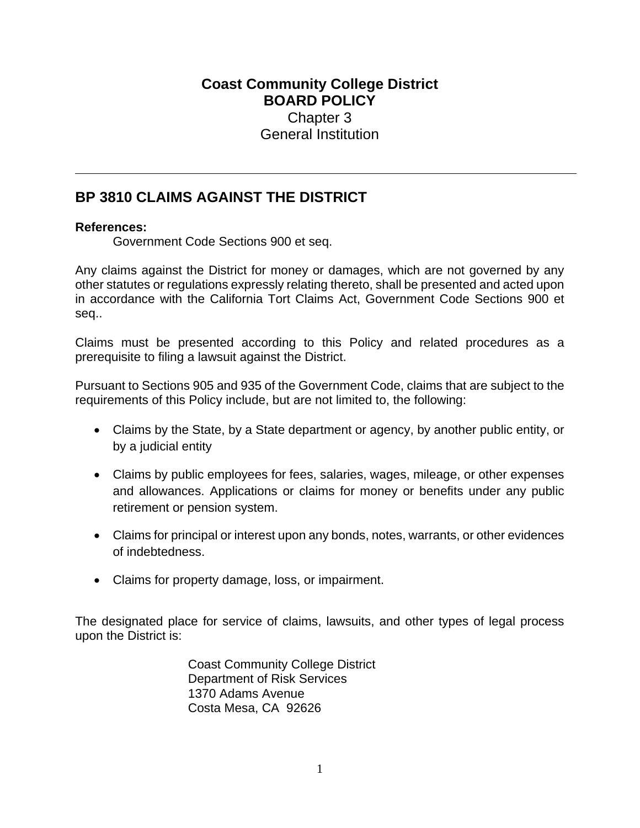## **Coast Community College District BOARD POLICY** Chapter 3 General Institution

## **BP 3810 CLAIMS AGAINST THE DISTRICT**

## **References:**

Government Code Sections 900 et seq.

Any claims against the District for money or damages, which are not governed by any other statutes or regulations expressly relating thereto, shall be presented and acted upon in accordance with the California Tort Claims Act, Government Code Sections 900 et seq..

Claims must be presented according to this Policy and related procedures as a prerequisite to filing a lawsuit against the District.

Pursuant to Sections 905 and 935 of the Government Code, claims that are subject to the requirements of this Policy include, but are not limited to, the following:

- Claims by the State, by a State department or agency, by another public entity, or by a judicial entity
- Claims by public employees for fees, salaries, wages, mileage, or other expenses and allowances. Applications or claims for money or benefits under any public retirement or pension system.
- Claims for principal or interest upon any bonds, notes, warrants, or other evidences of indebtedness.
- Claims for property damage, loss, or impairment.

The designated place for service of claims, lawsuits, and other types of legal process upon the District is:

> Coast Community College District Department of Risk Services 1370 Adams Avenue Costa Mesa, CA 92626